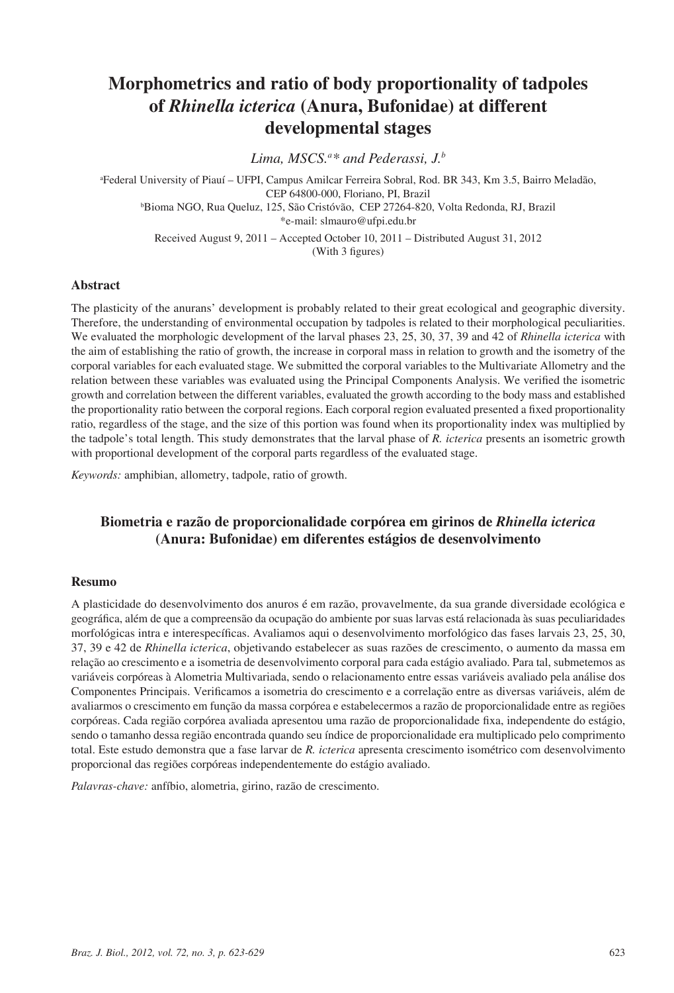# **Morphometrics and ratio of body proportionality of tadpoles of** *Rhinella icterica* **(Anura, Bufonidae) at different developmental stages**

Lima, MSCS.<sup>a\*</sup> and Pederassi, J.<sup>b</sup>

a Federal University of Piauí – UFPI, Campus Amilcar Ferreira Sobral, Rod. BR 343, Km 3.5, Bairro Meladão, CEP 64800-000, Floriano, PI, Brazil b Bioma NGO, Rua Queluz, 125, São Cristóvão, CEP 27264-820, Volta Redonda, RJ, Brazil \*e-mail: slmauro@ufpi.edu.br Received August 9, 2011 – Accepted October 10, 2011 – Distributed August 31, 2012 (With 3 figures)

#### **Abstract**

The plasticity of the anurans' development is probably related to their great ecological and geographic diversity. Therefore, the understanding of environmental occupation by tadpoles is related to their morphological peculiarities. We evaluated the morphologic development of the larval phases 23, 25, 30, 37, 39 and 42 of *Rhinella icterica* with the aim of establishing the ratio of growth, the increase in corporal mass in relation to growth and the isometry of the corporal variables for each evaluated stage. We submitted the corporal variables to the Multivariate Allometry and the relation between these variables was evaluated using the Principal Components Analysis. We verified the isometric growth and correlation between the different variables, evaluated the growth according to the body mass and established the proportionality ratio between the corporal regions. Each corporal region evaluated presented a fixed proportionality ratio, regardless of the stage, and the size of this portion was found when its proportionality index was multiplied by the tadpole's total length. This study demonstrates that the larval phase of *R. icterica* presents an isometric growth with proportional development of the corporal parts regardless of the evaluated stage.

*Keywords:* amphibian, allometry, tadpole, ratio of growth.

## **Biometria e razão de proporcionalidade corpórea em girinos de** *Rhinella icterica* **(Anura: Bufonidae) em diferentes estágios de desenvolvimento**

#### **Resumo**

A plasticidade do desenvolvimento dos anuros é em razão, provavelmente, da sua grande diversidade ecológica e geográfica, além de que a compreensão da ocupação do ambiente por suas larvas está relacionada às suas peculiaridades morfológicas intra e interespecíficas. Avaliamos aqui o desenvolvimento morfológico das fases larvais 23, 25, 30, 37, 39 e 42 de *Rhinella icterica*, objetivando estabelecer as suas razões de crescimento, o aumento da massa em relação ao crescimento e a isometria de desenvolvimento corporal para cada estágio avaliado. Para tal, submetemos as variáveis corpóreas à Alometria Multivariada, sendo o relacionamento entre essas variáveis avaliado pela análise dos Componentes Principais. Verificamos a isometria do crescimento e a correlação entre as diversas variáveis, além de avaliarmos o crescimento em função da massa corpórea e estabelecermos a razão de proporcionalidade entre as regiões corpóreas. Cada região corpórea avaliada apresentou uma razão de proporcionalidade fixa, independente do estágio, sendo o tamanho dessa região encontrada quando seu índice de proporcionalidade era multiplicado pelo comprimento total. Este estudo demonstra que a fase larvar de *R. icterica* apresenta crescimento isométrico com desenvolvimento proporcional das regiões corpóreas independentemente do estágio avaliado.

*Palavras-chave:* anfíbio, alometria, girino, razão de crescimento.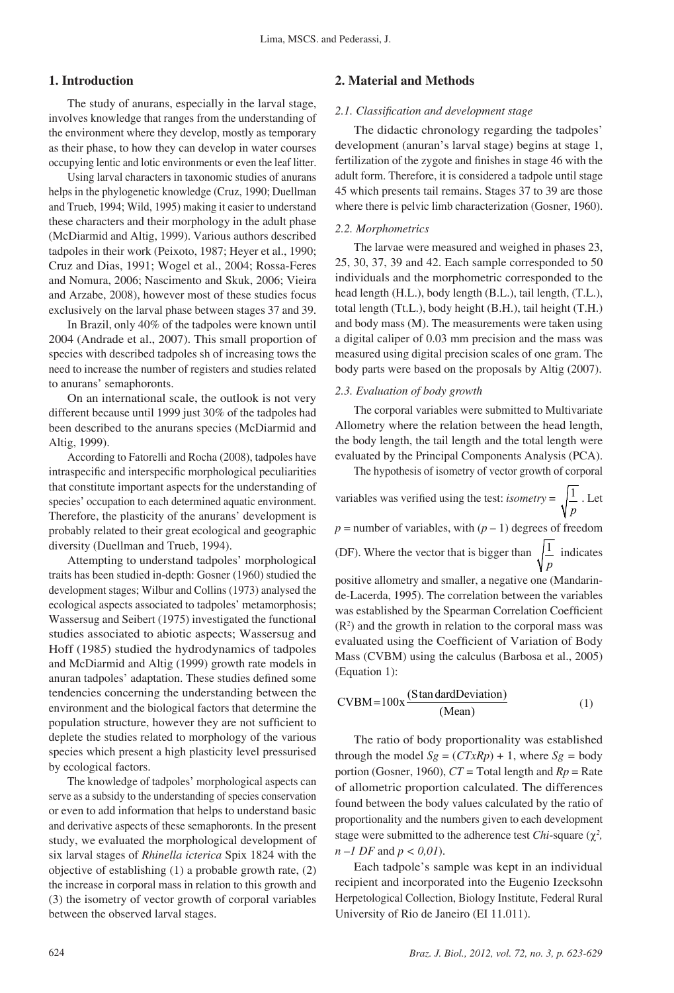#### **1. Introduction**

The study of anurans, especially in the larval stage, involves knowledge that ranges from the understanding of the environment where they develop, mostly as temporary as their phase, to how they can develop in water courses occupying lentic and lotic environments or even the leaf litter.

Using larval characters in taxonomic studies of anurans helps in the phylogenetic knowledge (Cruz, 1990; Duellman and Trueb, 1994; Wild, 1995) making it easier to understand these characters and their morphology in the adult phase (McDiarmid and Altig, 1999). Various authors described tadpoles in their work (Peixoto, 1987; Heyer et al., 1990; Cruz and Dias, 1991; Wogel et al., 2004; Rossa-Feres and Nomura, 2006; Nascimento and Skuk, 2006; Vieira and Arzabe, 2008), however most of these studies focus exclusively on the larval phase between stages 37 and 39.

In Brazil, only 40% of the tadpoles were known until 2004 (Andrade et al., 2007). This small proportion of species with described tadpoles sh of increasing tows the need to increase the number of registers and studies related to anurans' semaphoronts.

On an international scale, the outlook is not very different because until 1999 just 30% of the tadpoles had been described to the anurans species (McDiarmid and Altig, 1999).

According to Fatorelli and Rocha (2008), tadpoles have intraspecific and interspecific morphological peculiarities that constitute important aspects for the understanding of species' occupation to each determined aquatic environment. Therefore, the plasticity of the anurans' development is probably related to their great ecological and geographic diversity (Duellman and Trueb, 1994).

Attempting to understand tadpoles' morphological traits has been studied in-depth: Gosner (1960) studied the development stages; Wilbur and Collins (1973) analysed the ecological aspects associated to tadpoles' metamorphosis; Wassersug and Seibert (1975) investigated the functional studies associated to abiotic aspects; Wassersug and Hoff (1985) studied the hydrodynamics of tadpoles and McDiarmid and Altig (1999) growth rate models in anuran tadpoles' adaptation. These studies defined some tendencies concerning the understanding between the environment and the biological factors that determine the population structure, however they are not sufficient to deplete the studies related to morphology of the various species which present a high plasticity level pressurised by ecological factors.

The knowledge of tadpoles' morphological aspects can serve as a subsidy to the understanding of species conservation or even to add information that helps to understand basic and derivative aspects of these semaphoronts. In the present study, we evaluated the morphological development of six larval stages of *Rhinella icterica* Spix 1824 with the objective of establishing (1) a probable growth rate, (2) the increase in corporal mass in relation to this growth and (3) the isometry of vector growth of corporal variables between the observed larval stages.

## **2. Material and Methods**

#### *2.1. Classification and development stage*

The didactic chronology regarding the tadpoles' development (anuran's larval stage) begins at stage 1, fertilization of the zygote and finishes in stage 46 with the adult form. Therefore, it is considered a tadpole until stage 45 which presents tail remains. Stages 37 to 39 are those where there is pelvic limb characterization (Gosner, 1960).

#### *2.2. Morphometrics*

The larvae were measured and weighed in phases 23, 25, 30, 37, 39 and 42. Each sample corresponded to 50 individuals and the morphometric corresponded to the head length (H.L.), body length (B.L.), tail length, (T.L.), total length (Tt.L.), body height (B.H.), tail height (T.H.) and body mass (M). The measurements were taken using a digital caliper of 0.03 mm precision and the mass was measured using digital precision scales of one gram. The body parts were based on the proposals by Altig (2007).

#### *2.3. Evaluation of body growth*

(Equation 1):

The corporal variables were submitted to Multivariate Allometry where the relation between the head length, the body length, the tail length and the total length were evaluated by the Principal Components Analysis (PCA).

The hypothesis of isometry of vector growth of corporal

variables was verified using the test: *isometry* =  $\frac{1}{1}$ *p* . Let  $p =$  number of variables, with  $(p - 1)$  degrees of freedom (DF). Where the vector that is bigger than  $\frac{1}{1}$ *p* indicates positive allometry and smaller, a negative one (Mandarinde-Lacerda, 1995). The correlation between the variables was established by the Spearman Correlation Coefficient  $(R<sup>2</sup>)$  and the growth in relation to the corporal mass was evaluated using the Coefficient of Variation of Body Mass (CVBM) using the calculus (Barbosa et al., 2005)

$$
CVBM = 100x \frac{(Stan dardDeviation)}{(Mean)}
$$
 (1)

The ratio of body proportionality was established through the model  $Sg = (CTxRp) + 1$ , where  $Sg =$  body portion (Gosner, 1960),  $CT = Total length$  and  $Rp = Rate$ of allometric proportion calculated. The differences found between the body values calculated by the ratio of proportionality and the numbers given to each development stage were submitted to the adherence test *Chi*-square ( $\chi^2$ , *n –1 DF* and *p < 0,01*).

Each tadpole's sample was kept in an individual recipient and incorporated into the Eugenio Izecksohn Herpetological Collection, Biology Institute, Federal Rural University of Rio de Janeiro (EI 11.011).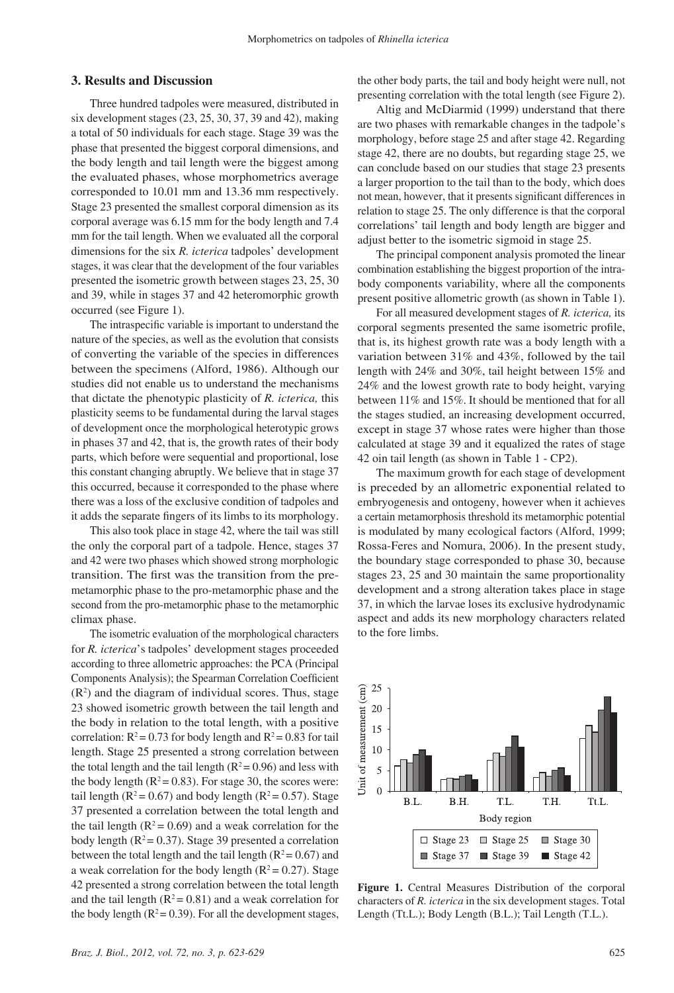#### **3. Results and Discussion**

Three hundred tadpoles were measured, distributed in six development stages (23, 25, 30, 37, 39 and 42), making a total of 50 individuals for each stage. Stage 39 was the phase that presented the biggest corporal dimensions, and the body length and tail length were the biggest among the evaluated phases, whose morphometrics average corresponded to 10.01 mm and 13.36 mm respectively. Stage 23 presented the smallest corporal dimension as its corporal average was 6.15 mm for the body length and 7.4 mm for the tail length. When we evaluated all the corporal dimensions for the six *R. icterica* tadpoles' development stages, it was clear that the development of the four variables presented the isometric growth between stages 23, 25, 30 and 39, while in stages 37 and 42 heteromorphic growth occurred (see Figure 1).

The intraspecific variable is important to understand the nature of the species, as well as the evolution that consists of converting the variable of the species in differences between the specimens (Alford, 1986). Although our studies did not enable us to understand the mechanisms that dictate the phenotypic plasticity of *R. icterica,* this plasticity seems to be fundamental during the larval stages of development once the morphological heterotypic grows in phases 37 and 42, that is, the growth rates of their body parts, which before were sequential and proportional, lose this constant changing abruptly. We believe that in stage 37 this occurred, because it corresponded to the phase where there was a loss of the exclusive condition of tadpoles and it adds the separate fingers of its limbs to its morphology.

This also took place in stage 42, where the tail was still the only the corporal part of a tadpole. Hence, stages 37 and 42 were two phases which showed strong morphologic transition. The first was the transition from the premetamorphic phase to the pro-metamorphic phase and the second from the pro-metamorphic phase to the metamorphic climax phase.

The isometric evaluation of the morphological characters for *R. icterica*'s tadpoles' development stages proceeded according to three allometric approaches: the PCA (Principal Components Analysis); the Spearman Correlation Coefficient  $(R<sup>2</sup>)$  and the diagram of individual scores. Thus, stage 23 showed isometric growth between the tail length and the body in relation to the total length, with a positive correlation:  $R^2 = 0.73$  for body length and  $R^2 = 0.83$  for tail length. Stage 25 presented a strong correlation between the total length and the tail length ( $R^2$  = 0.96) and less with the body length ( $R^2 = 0.83$ ). For stage 30, the scores were: tail length ( $R^2 = 0.67$ ) and body length ( $R^2 = 0.57$ ). Stage 37 presented a correlation between the total length and the tail length ( $R^2 = 0.69$ ) and a weak correlation for the body length ( $R^2 = 0.37$ ). Stage 39 presented a correlation between the total length and the tail length ( $R^2 = 0.67$ ) and a weak correlation for the body length  $(R^2 = 0.27)$ . Stage 42 presented a strong correlation between the total length and the tail length ( $R^2 = 0.81$ ) and a weak correlation for the body length  $(R^2 = 0.39)$ . For all the development stages,

the other body parts, the tail and body height were null, not presenting correlation with the total length (see Figure 2).

Altig and McDiarmid (1999) understand that there are two phases with remarkable changes in the tadpole's morphology, before stage 25 and after stage 42. Regarding stage 42, there are no doubts, but regarding stage 25, we can conclude based on our studies that stage 23 presents a larger proportion to the tail than to the body, which does not mean, however, that it presents significant differences in relation to stage 25. The only difference is that the corporal correlations' tail length and body length are bigger and adjust better to the isometric sigmoid in stage 25.

The principal component analysis promoted the linear combination establishing the biggest proportion of the intrabody components variability, where all the components present positive allometric growth (as shown in Table 1).

For all measured development stages of *R. icterica,* its corporal segments presented the same isometric profile, that is, its highest growth rate was a body length with a variation between 31% and 43%, followed by the tail length with 24% and 30%, tail height between 15% and 24% and the lowest growth rate to body height, varying between 11% and 15%. It should be mentioned that for all the stages studied, an increasing development occurred, except in stage 37 whose rates were higher than those calculated at stage 39 and it equalized the rates of stage 42 oin tail length (as shown in Table 1 - CP2).

The maximum growth for each stage of development is preceded by an allometric exponential related to embryogenesis and ontogeny, however when it achieves a certain metamorphosis threshold its metamorphic potential is modulated by many ecological factors (Alford, 1999; Rossa-Feres and Nomura, 2006). In the present study, the boundary stage corresponded to phase 30, because stages 23, 25 and 30 maintain the same proportionality development and a strong alteration takes place in stage 37, in which the larvae loses its exclusive hydrodynamic aspect and adds its new morphology characters related to the fore limbs.



**Figure 1.** Central Measures Distribution of the corporal characters of *R. icterica* in the six development stages. Total Length (Tt.L.); Body Length (B.L.); Tail Length (T.L.).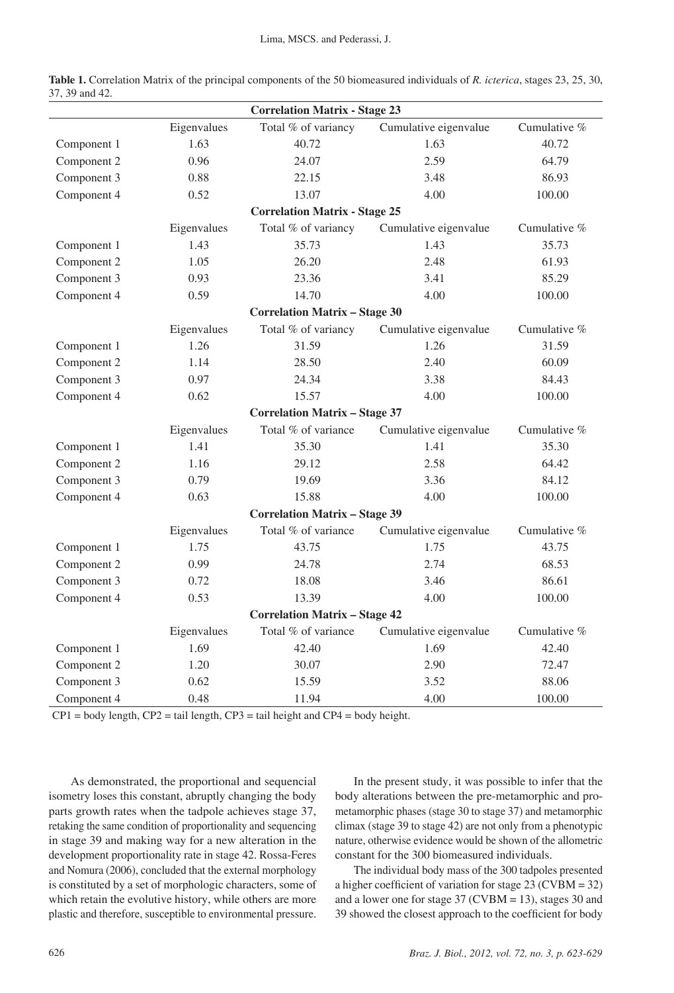| <b>Correlation Matrix - Stage 23</b> |             |                                      |                       |              |  |  |
|--------------------------------------|-------------|--------------------------------------|-----------------------|--------------|--|--|
|                                      | Eigenvalues | Total % of variancy                  | Cumulative eigenvalue | Cumulative % |  |  |
| Component 1                          | 1.63        | 40.72                                | 1.63                  | 40.72        |  |  |
| Component 2                          | 0.96        | 24.07                                | 2.59                  | 64.79        |  |  |
| Component 3                          | 0.88        | 22.15                                | 3.48                  | 86.93        |  |  |
| Component 4                          | 0.52        | 13.07                                | 4.00                  | 100.00       |  |  |
|                                      |             | <b>Correlation Matrix - Stage 25</b> |                       |              |  |  |
|                                      | Eigenvalues | Total % of variancy                  | Cumulative eigenvalue | Cumulative % |  |  |
| Component 1                          | 1.43        | 35.73                                | 1.43                  | 35.73        |  |  |
| Component 2                          | 1.05        | 26.20                                | 2.48                  | 61.93        |  |  |
| Component 3                          | 0.93        | 23.36                                | 3.41                  | 85.29        |  |  |
| Component 4                          | 0.59        | 14.70                                | 4.00                  | 100.00       |  |  |
|                                      |             | <b>Correlation Matrix - Stage 30</b> |                       |              |  |  |
|                                      | Eigenvalues | Total % of variancy                  | Cumulative eigenvalue | Cumulative % |  |  |
| Component 1                          | 1.26        | 31.59                                | 1.26                  | 31.59        |  |  |
| Component 2                          | 1.14        | 28.50                                | 2.40                  | 60.09        |  |  |
| Component 3                          | 0.97        | 24.34                                | 3.38                  | 84.43        |  |  |
| Component 4                          | 0.62        | 15.57                                | 4.00                  | 100.00       |  |  |
|                                      |             | <b>Correlation Matrix - Stage 37</b> |                       |              |  |  |
|                                      | Eigenvalues | Total % of variance                  | Cumulative eigenvalue | Cumulative % |  |  |
| Component 1                          | 1.41        | 35.30                                | 1.41                  | 35.30        |  |  |
| Component 2                          | 1.16        | 29.12                                | 2.58                  | 64.42        |  |  |
| Component 3                          | 0.79        | 19.69                                | 3.36                  | 84.12        |  |  |
| Component 4                          | 0.63        | 15.88                                | 4.00                  | 100.00       |  |  |
|                                      |             | <b>Correlation Matrix - Stage 39</b> |                       |              |  |  |
|                                      | Eigenvalues | Total % of variance                  | Cumulative eigenvalue | Cumulative % |  |  |
| Component 1                          | 1.75        | 43.75                                | 1.75                  | 43.75        |  |  |
| Component 2                          | 0.99        | 24.78                                | 2.74                  | 68.53        |  |  |
| Component 3                          | 0.72        | 18.08                                | 3.46                  | 86.61        |  |  |
| Component 4                          | 0.53        | 13.39                                | 4.00                  | 100.00       |  |  |
|                                      |             | <b>Correlation Matrix - Stage 42</b> |                       |              |  |  |
|                                      | Eigenvalues | Total % of variance                  | Cumulative eigenvalue | Cumulative % |  |  |
| Component 1                          | 1.69        | 42.40                                | 1.69                  | 42.40        |  |  |
| Component 2                          | 1.20        | 30.07                                | 2.90                  | 72.47        |  |  |
| Component 3                          | 0.62        | 15.59                                | 3.52                  | 88.06        |  |  |
| Component 4                          | 0.48        | 11.94                                | 4.00                  | 100.00       |  |  |

**Table 1.** Correlation Matrix of the principal components of the 50 biomeasured individuals of *R. icterica*, stages 23, 25, 30, 37, 39 and 42.

 $CPI = body length, CP2 = tail length, CP3 = tail height and CP4 = body height.$ 

 As demonstrated, the proportional and sequencial isometry loses this constant, abruptly changing the body parts growth rates when the tadpole achieves stage 37, retaking the same condition of proportionality and sequencing in stage 39 and making way for a new alteration in the development proportionality rate in stage 42. Rossa-Feres and Nomura (2006), concluded that the external morphology is constituted by a set of morphologic characters, some of which retain the evolutive history, while others are more plastic and therefore, susceptible to environmental pressure.

In the present study, it was possible to infer that the body alterations between the pre-metamorphic and prometamorphic phases (stage 30 to stage 37) and metamorphic climax (stage 39 to stage 42) are not only from a phenotypic nature, otherwise evidence would be shown of the allometric constant for the 300 biomeasured individuals.

The individual body mass of the 300 tadpoles presented a higher coefficient of variation for stage 23 (CVBM = 32) and a lower one for stage  $37$  (CVBM = 13), stages 30 and 39 showed the closest approach to the coefficient for body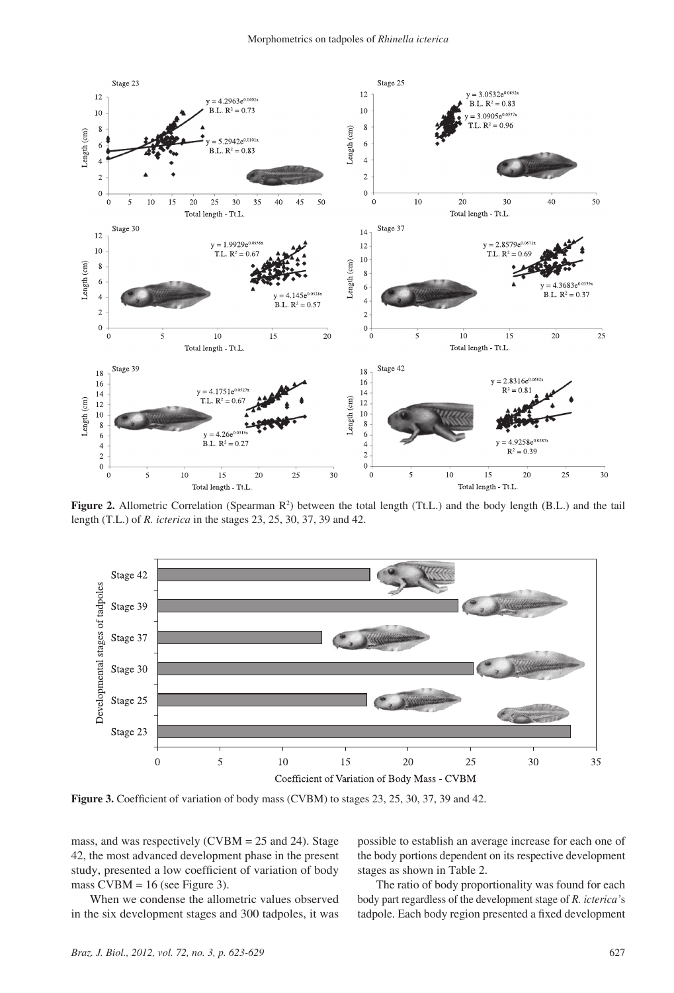

**Figure 2.** Allometric Correlation (Spearman R<sup>2</sup>) between the total length (Tt.L.) and the body length (B.L.) and the tail length (T.L.) of *R. icterica* in the stages 23, 25, 30, 37, 39 and 42.



**Figure 3.** Coefficient of variation of body mass (CVBM) to stages 23, 25, 30, 37, 39 and 42.

mass, and was respectively (CVBM = 25 and 24). Stage 42, the most advanced development phase in the present study, presented a low coefficient of variation of body mass  $CVBM = 16$  (see Figure 3).

When we condense the allometric values observed in the six development stages and 300 tadpoles, it was possible to establish an average increase for each one of the body portions dependent on its respective development stages as shown in Table 2.

The ratio of body proportionality was found for each body part regardless of the development stage of *R. icterica'*s tadpole. Each body region presented a fixed development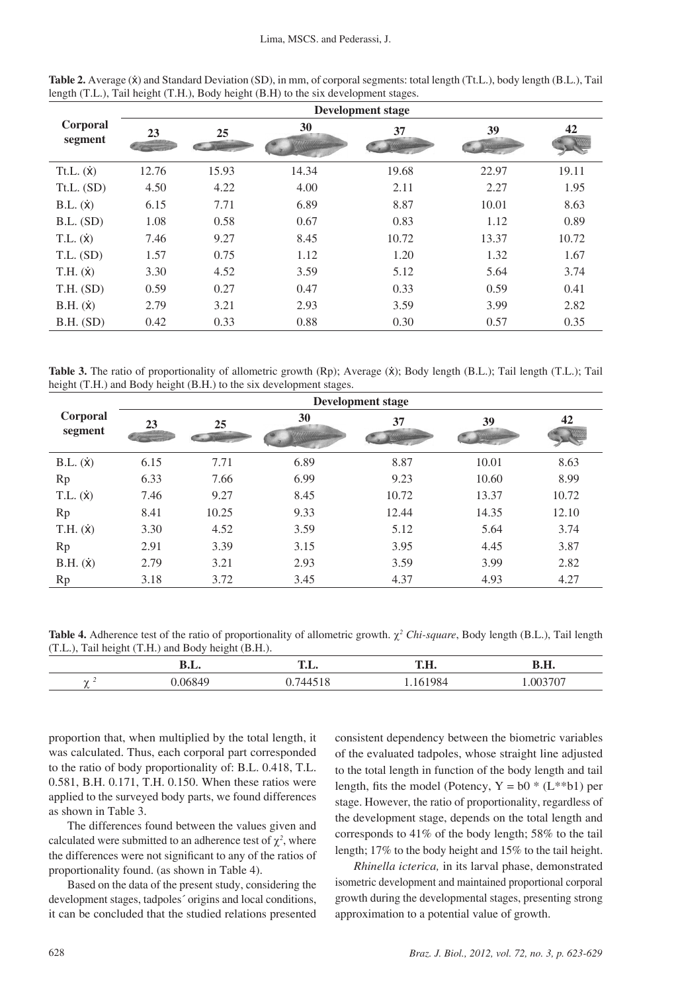|                     | <b>Development stage</b> |       |       |       |       |       |  |
|---------------------|--------------------------|-------|-------|-------|-------|-------|--|
| Corporal<br>segment | 23                       | 25    | 30    | 37    | 39    | 42    |  |
| Tt.L. (x)           | 12.76                    | 15.93 | 14.34 | 19.68 | 22.97 | 19.11 |  |
| $Tt.L.$ (SD)        | 4.50                     | 4.22  | 4.00  | 2.11  | 2.27  | 1.95  |  |
| B.L. (x)            | 6.15                     | 7.71  | 6.89  | 8.87  | 10.01 | 8.63  |  |
| B.L. (SD)           | 1.08                     | 0.58  | 0.67  | 0.83  | 1.12  | 0.89  |  |
| $T.L.(\dot{x})$     | 7.46                     | 9.27  | 8.45  | 10.72 | 13.37 | 10.72 |  |
| $T.L.$ (SD)         | 1.57                     | 0.75  | 1.12  | 1.20  | 1.32  | 1.67  |  |
| T.H. (x)            | 3.30                     | 4.52  | 3.59  | 5.12  | 5.64  | 3.74  |  |
| T.H. (SD)           | 0.59                     | 0.27  | 0.47  | 0.33  | 0.59  | 0.41  |  |
| B.H. (x)            | 2.79                     | 3.21  | 2.93  | 3.59  | 3.99  | 2.82  |  |
| $B.H.$ (SD)         | 0.42                     | 0.33  | 0.88  | 0.30  | 0.57  | 0.35  |  |

**Table 2.** Average ( $\dot{x}$ ) and Standard Deviation (SD), in mm, of corporal segments: total length (Tt.L.), body length (B.L.), Tail length (T.L.), Tail height (T.H.), Body height (B.H) to the six development stages.

**Table 3.** The ratio of proportionality of allometric growth (Rp); Average ( $\dot{\mathbf{x}}$ ); Body length (B.L.); Tail length (T.L.); Tail height (T.H.) and Body height (B.H.) to the six development stages.

|                     | Development stage |       |      |       |       |       |  |
|---------------------|-------------------|-------|------|-------|-------|-------|--|
| Corporal<br>segment | 23                | 25    | 30   | 37    | 39    | 42    |  |
| B.L. (x)            | 6.15              | 7.71  | 6.89 | 8.87  | 10.01 | 8.63  |  |
| Rp                  | 6.33              | 7.66  | 6.99 | 9.23  | 10.60 | 8.99  |  |
| T.L. (x)            | 7.46              | 9.27  | 8.45 | 10.72 | 13.37 | 10.72 |  |
| Rp                  | 8.41              | 10.25 | 9.33 | 12.44 | 14.35 | 12.10 |  |
| T.H. (x)            | 3.30              | 4.52  | 3.59 | 5.12  | 5.64  | 3.74  |  |
| Rp                  | 2.91              | 3.39  | 3.15 | 3.95  | 4.45  | 3.87  |  |
| B.H. (x)            | 2.79              | 3.21  | 2.93 | 3.59  | 3.99  | 2.82  |  |
| Rp                  | 3.18              | 3.72  | 3.45 | 4.37  | 4.93  | 4.27  |  |

**Table 4.** Adherence test of the ratio of proportionality of allometric growth. χ*<sup>2</sup> Chi-square*, Body length (B.L.), Tail length (T.L.), Tail height (T.H.) and Body height (B.H.).

|        | D.L. | $\blacksquare$ | <b>IT IT</b><br>1.п. | TT<br>в.п. |
|--------|------|----------------|----------------------|------------|
| $\sim$ |      |                | ∙∪−<br>.             |            |

proportion that, when multiplied by the total length, it was calculated. Thus, each corporal part corresponded to the ratio of body proportionality of: B.L. 0.418, T.L. 0.581, B.H. 0.171, T.H. 0.150. When these ratios were applied to the surveyed body parts, we found differences as shown in Table 3.

The differences found between the values given and calculated were submitted to an adherence test of  $\chi^2$ , where the differences were not significant to any of the ratios of proportionality found. (as shown in Table 4).

Based on the data of the present study, considering the development stages, tadpoles´ origins and local conditions, it can be concluded that the studied relations presented consistent dependency between the biometric variables of the evaluated tadpoles, whose straight line adjusted to the total length in function of the body length and tail length, fits the model (Potency,  $Y = b0 * (L^{**}b1)$  per stage. However, the ratio of proportionality, regardless of the development stage, depends on the total length and corresponds to 41% of the body length; 58% to the tail length; 17% to the body height and 15% to the tail height.

*Rhinella icterica,* in its larval phase, demonstrated isometric development and maintained proportional corporal growth during the developmental stages, presenting strong approximation to a potential value of growth.